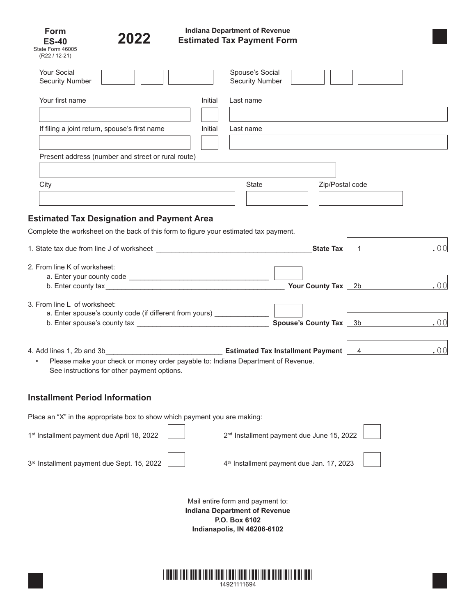| Form             |  |
|------------------|--|
| <b>ES-40</b>     |  |
| State Form 46005 |  |



## **Indiana Department of Revenue Estimated Tax Payment Form**

| (R22 / 12-21)                                                                                                                                                                                                                         |         |                                                                                                                          |                                                       |                     |  |     |
|---------------------------------------------------------------------------------------------------------------------------------------------------------------------------------------------------------------------------------------|---------|--------------------------------------------------------------------------------------------------------------------------|-------------------------------------------------------|---------------------|--|-----|
| <b>Your Social</b><br><b>Security Number</b>                                                                                                                                                                                          |         | Spouse's Social<br>Security Number                                                                                       |                                                       |                     |  |     |
| Your first name                                                                                                                                                                                                                       | Initial | Last name                                                                                                                |                                                       |                     |  |     |
| If filing a joint return, spouse's first name                                                                                                                                                                                         | Initial | Last name                                                                                                                |                                                       |                     |  |     |
| Present address (number and street or rural route)                                                                                                                                                                                    |         |                                                                                                                          |                                                       |                     |  |     |
| City                                                                                                                                                                                                                                  |         | State                                                                                                                    |                                                       | Zip/Postal code     |  |     |
| <b>Estimated Tax Designation and Payment Area</b><br>Complete the worksheet on the back of this form to figure your estimated tax payment.                                                                                            |         |                                                                                                                          |                                                       |                     |  |     |
|                                                                                                                                                                                                                                       |         |                                                                                                                          |                                                       | State Tax $\vert$ 1 |  | .00 |
| 2. From line K of worksheet:<br>b. Enter county tax                                                                                                                                                                                   |         |                                                                                                                          | Your County Tax   2b                                  |                     |  | .00 |
| 3. From line L of worksheet:<br>a. Enter spouse's county code (if different from yours) ________________<br>b. Enter spouse's county tax $\frac{1}{2}$ 3b                                                                             |         |                                                                                                                          |                                                       |                     |  | .00 |
| 4. Add lines 1, 2b and 3b $\overline{a}$ <b>Estimated Tax Installment Payment</b> $\overline{a}$ 4<br>Please make your check or money order payable to: Indiana Department of Revenue.<br>See instructions for other payment options. |         |                                                                                                                          |                                                       |                     |  | .00 |
| <b>Installment Period Information</b>                                                                                                                                                                                                 |         |                                                                                                                          |                                                       |                     |  |     |
| Place an "X" in the appropriate box to show which payment you are making:                                                                                                                                                             |         |                                                                                                                          |                                                       |                     |  |     |
| 1st Installment payment due April 18, 2022                                                                                                                                                                                            |         | 2 <sup>nd</sup> Installment payment due June 15, 2022                                                                    |                                                       |                     |  |     |
| 3 <sup>rd</sup> Installment payment due Sept. 15, 2022                                                                                                                                                                                |         |                                                                                                                          | 4 <sup>th</sup> Installment payment due Jan. 17, 2023 |                     |  |     |
|                                                                                                                                                                                                                                       |         | Mail entire form and payment to:<br><b>Indiana Department of Revenue</b><br>P.O. Box 6102<br>Indianapolis, IN 46206-6102 |                                                       |                     |  |     |